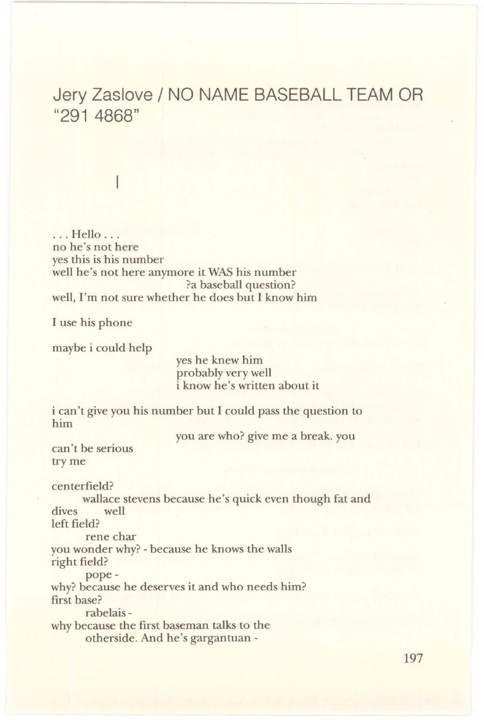## Jery Zaslove / NO NAME BASEBALL TEAM OR "291 4868"

## I

... Hello .. . no he's not here yes this is his number well he's not here anymore it WAS his number ?a baseball question? well, I'm not sure whether he does but I know him

I use his phone

maybe i could help

yes he knew him probably very well i know he's written about it

i can't give you his number but I could pass the question to him

you are who? give me a break. you

can't be serious try me

centerfield? wallace stevens because he's quick even though fat and dives well left field? rene char you wonder why? - because he knows the walls right field? pope-

why? because he deserves it and who needs him? first base?

rabelais-

why because the first baseman talks to the otherside. And he's gargantuan -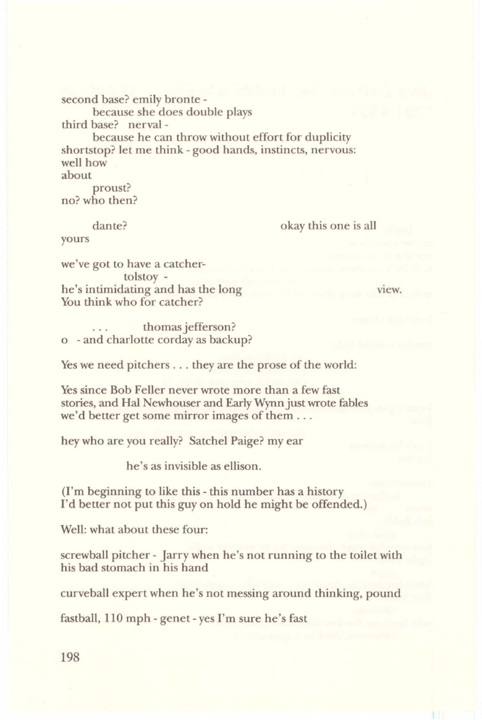second base? emily bronte -

because she does double plays third base? nerval -

because he can throw without effort for duplicity shortstop? let me think - good hands, instincts, nervous: well how about

proust? no? who then?

dante?

okay this one is all

yours

we've got to have a catchertolstoy he's intimidating and has the long You think who for catcher?

view.

thomas jefferson? o - and charlotte corday as backup?

Yes we need pitchers ... they are the prose of the world:

Yes since Bob Feller never wrote more than a few fast stories, and Hal Newhouser and Early Wynn just wrote fables we'd better get some mirror images of them . ..

hey who are you really? Satchel Paige? my ear

he's as invisible as ellison.

(I'm beginning to like this - this number has a history I'd better not put this guy on hold he might be offended.)

Well: what about these four:

screwball pitcher - Jarry when he's not running to the toilet with his bad stomach in his hand

curveball expert when he's not messing around thinking, pound

fastball, 110 mph - genet-yes I'm sure he's fast

198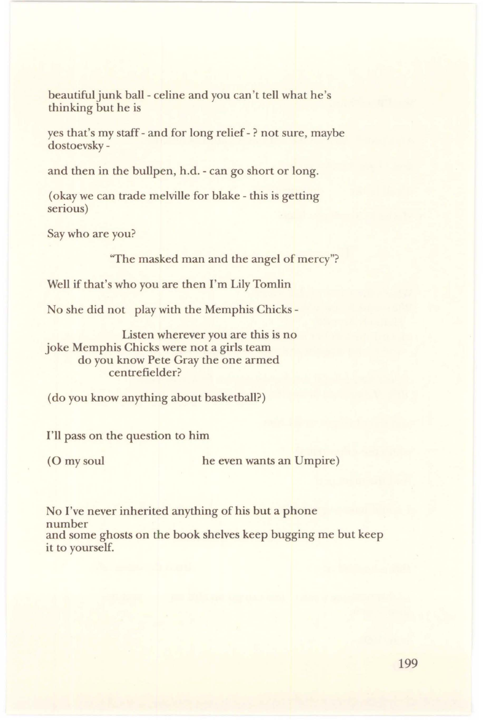beautiful junk ball- celine and you can't tell what he's thinking but he is

yes that's my staff - and for long relief - ? not sure, maybe dostoevsky -

and then in the bullpen, h.d. - can go short or long.

( okay we can trade melville for blake - this is getting serious)

Say who are you?

''The masked man and the angel of mercy"?

Well if that's who you are then I'm Lily Tomlin

No she did not play with the Memphis Chicks -

Listen wherever you are this is no joke Memphis Chicks were not a girls team do you know Pete Gray the one armed centrefielder?

( do you know anything about basketball?)

I'll pass on the question to him

(0 my soul he even wants an Umpire)

No I've never inherited anything of his but a phone number and some ghosts on the book shelves keep bugging me but keep it to yourself.